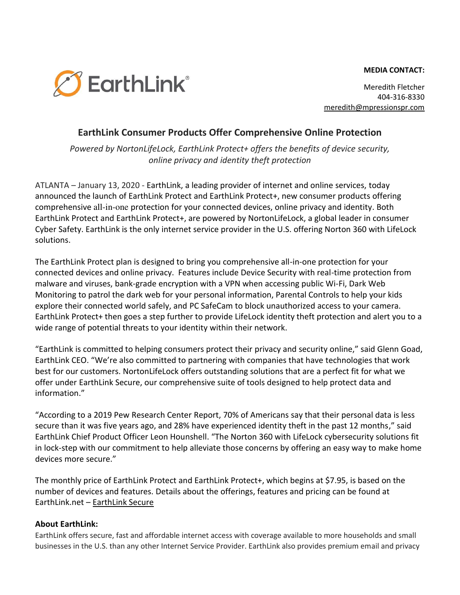## **MEDIA CONTACT:**



Meredith Fletcher 404-316-8330 [meredith@mpressionspr.com](mailto:meredith@mpressionspr.com) 

## **EarthLink Consumer Products Offer Comprehensive Online Protection**

*Powered by NortonLifeLock, EarthLink Protect+ offers the benefits of device security, online privacy and identity theft protection* 

ATLANTA – January 13, 2020 - EarthLink, a leading provider of internet and online services, today announced the launch of EarthLink Protect and EarthLink Protect+, new consumer products offering comprehensive all-in-one protection for your connected devices, online privacy and identity. Both EarthLink Protect and EarthLink Protect+, are powered by NortonLifeLock, a global leader in consumer Cyber Safety. EarthLink is the only internet service provider in the U.S. offering Norton 360 with LifeLock solutions.

The EarthLink Protect plan is designed to bring you comprehensive all-in-one protection for your connected devices and online privacy. Features include Device Security with real-time protection from malware and viruses, bank-grade encryption with a VPN when accessing public Wi-Fi, Dark Web Monitoring to patrol the dark web for your personal information, Parental Controls to help your kids explore their connected world safely, and PC SafeCam to block unauthorized access to your camera. EarthLink Protect+ then goes a step further to provide LifeLock identity theft protection and alert you to a wide range of potential threats to your identity within their network.

"EarthLink is committed to helping consumers protect their privacy and security online," said Glenn Goad, EarthLink CEO. "We're also committed to partnering with companies that have technologies that work best for our customers. NortonLifeLock offers outstanding solutions that are a perfect fit for what we offer under EarthLink Secure, our comprehensive suite of tools designed to help protect data and information."

"According to a 2019 Pew Research Center Report, 70% of Americans say that their personal data is less secure than it was five years ago, and 28% have experienced identity theft in the past 12 months," said EarthLink Chief Product Officer Leon Hounshell. "The Norton 360 with LifeLock cybersecurity solutions fit in lock-step with our commitment to help alleviate those concerns by offering an easy way to make home devices more secure."

The monthly price of EarthLink Protect and EarthLink Protect+, which begins at \$7.95, is based on the number of devices and features. Details about the offerings, features and pricing can be found at EarthLink.net – [EarthLink Secure](https://www.earthlink.net/security-and-tools/) 

## **About EarthLink:**

EarthLink offers secure, fast and affordable internet access with coverage available to more households and small businesses in the U.S. than any other Internet Service Provider. EarthLink also provides premium email and privacy